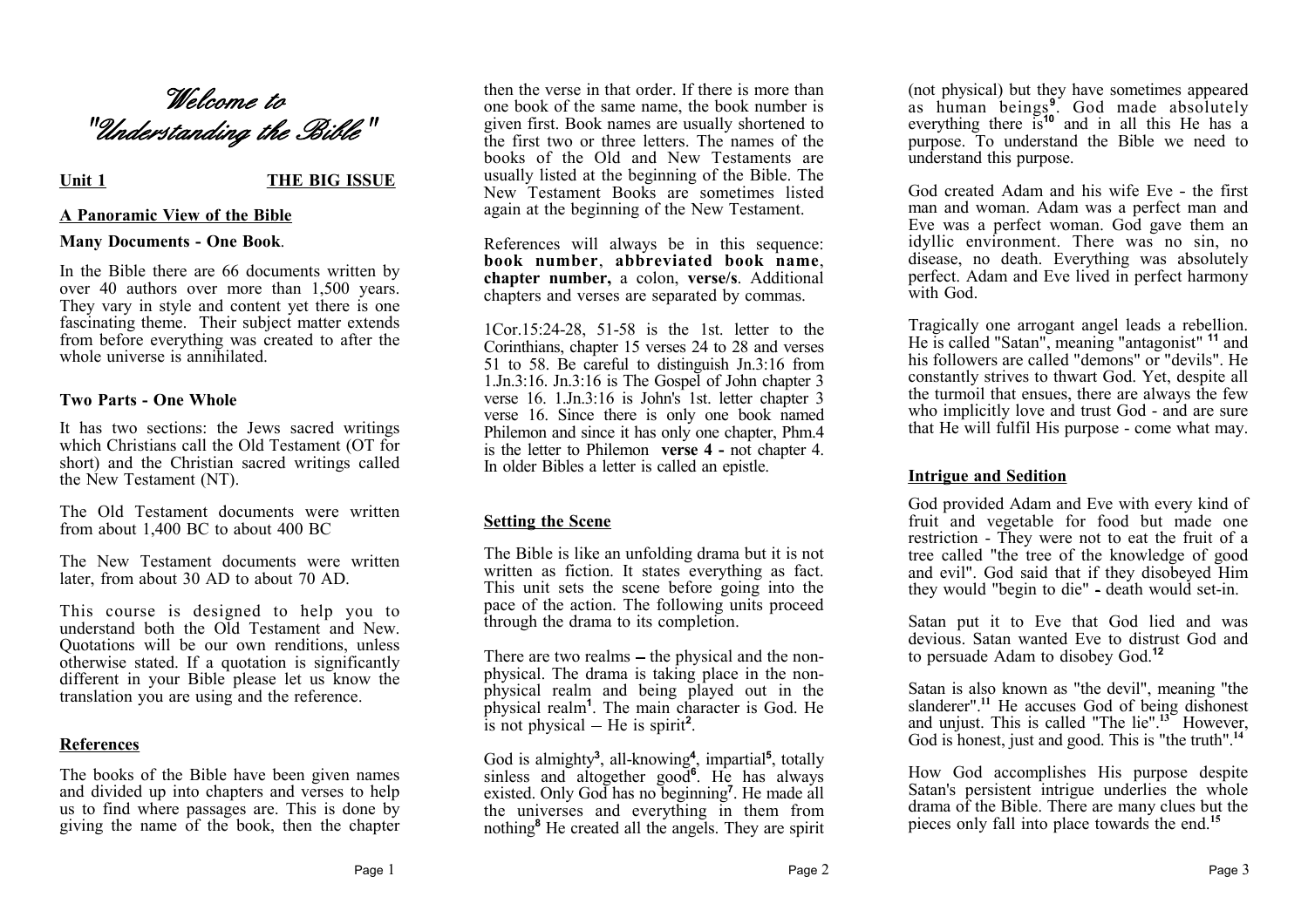# *Welcome to "Understanding the Bible"*

# Unit 1 THE BIG ISSUE

# **A Panoramic View of the Bible**

## **Many Documents - One Book**.

In the Bible there are 66 documents written by over 40 authors over more than 1,500 years. They vary in style and content yet there is one fascinating theme. Their subject matter extends from before everything was created to after the whole universe is annihilated.

# **Two Parts - One Whole**

It has two sections: the Jews sacred writings which Christians call the Old Testament (OT for short) and the Christian sacred writings called the New Testament (NT).

The Old Testament documents were written from about 1,400 BC to about 400 BC

The New Testament documents were written later, from about 30 AD to about 70 AD.

This course is designed to help you to understand both the Old Testament and New. Quotations will be our own renditions, unless otherwise stated. If a quotation is significantly different in your Bible please let us know the translation you are using and the reference.

# **References**

The books of the Bible have been given names and divided up into chapters and verses to help us to find where passages are. This is done by giving the name of the book, then the chapter

then the verse in that order. If there is more than one book of the same name, the book number is given first. Book names are usually shortened to the first two or three letters. The names of the books of the Old and New Testaments are usually listed at the beginning of the Bible. The New Testament Books are sometimes listed again at the beginning of the New Testament.

References will always be in this sequence: **book number**, **abbreviated book name**, **chapter number,** a colon, **verse/s**. Additional chapters and verses are separated by commas.

1Cor.15:24-28, 51-58 is the 1st. letter to the Corinthians, chapter 15 verses 24 to 28 and verses 51 to 58. Be careful to distinguish Jn.3:16 from 1.Jn.3:16. Jn.3:16 is The Gospel of John chapter 3 verse 16. 1.Jn.3:16 is John's 1st. letter chapter 3 verse 16. Since there is only one book named Philemon and since it has only one chapter, Phm.4 is the letter to Philemon **verse 4 -** not chapter 4. In older Bibles a letter is called an epistle.

# **Setting the Scene**

The Bible is like an unfolding drama but it is not written as fiction. It states everything as fact. This unit sets the scene before going into the pace of the action. The following units proceed through the drama to its completion.

There are two realms  $-$  the physical and the nonphysical. The drama is taking place in the nonphysical realm and being played out in the physical realm**<sup>1</sup>** . The main character is God. He is not physical  $-$  He is spirit<sup>2</sup>.

God is almighty**<sup>3</sup>** , all-knowing**<sup>4</sup>** , impartial**<sup>5</sup>** , totally sinless and altogether good**<sup>6</sup>** . He has always existed. Only God has no beginning**<sup>7</sup>** . He made all the universes and everything in them from nothing**<sup>8</sup>** He created all the angels. They are spirit (not physical) but they have sometimes appeared as human beings**<sup>9</sup>** . God made absolutely everything there is**<sup>10</sup>** and in all this He has a purpose. To understand the Bible we need to understand this purpose.

God created Adam and his wife Eve - the first man and woman. Adam was a perfect man and Eve was a perfect woman. God gave them an idyllic environment. There was no sin, no disease, no death. Everything was absolutely perfect. Adam and Eve lived in perfect harmony with God.

Tragically one arrogant angel leads a rebellion. He is called "Satan", meaning "antagonist" **<sup>11</sup>** and his followers are called "demons" or "devils". He constantly strives to thwart God. Yet, despite all the turmoil that ensues, there are always the few who implicitly love and trust God - and are sure that He will fulfil His purpose - come what may.

# **Intrigue and Sedition**

God provided Adam and Eve with every kind of fruit and vegetable for food but made one restriction - They were not to eat the fruit of a tree called "the tree of the knowledge of good and evil". God said that if they disobeyed Him they would "begin to die" - death would set-in.

Satan put it to Eve that God lied and was devious. Satan wanted Eve to distrust God and to persuade Adam to disobey God.**<sup>12</sup>**

Satan is also known as "the devil", meaning "the slanderer".**<sup>11</sup>** He accuses God of being dishonest and unjust. This is called "The lie".**<sup>13</sup>** However, God is honest, just and good. This is "the truth".<sup>14</sup>

How God accomplishes His purpose despite Satan's persistent intrigue underlies the whole drama of the Bible. There are many clues but the pieces only fall into place towards the end.**<sup>15</sup>**